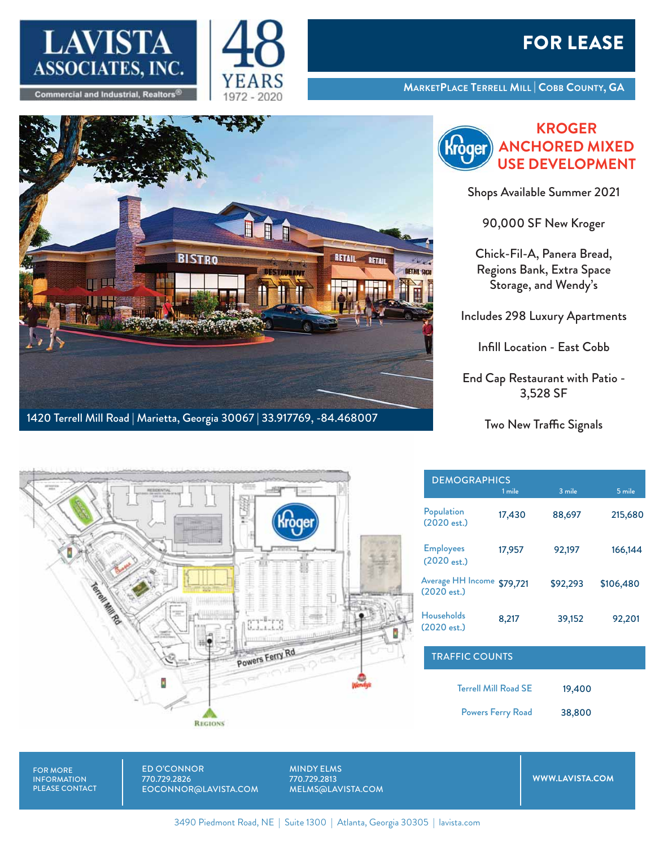



## FOR LEASE

**MARKETPLACE TERRELL MILL | COBB COUNTY, GA**



**KROGER ANCHORED MIXED** baer **USE DEVELOPMENT**

Shops Available Summer 2021

90,000 SF New Kroger

Chick-Fil-A, Panera Bread, Regions Bank, Extra Space Storage, and Wendy's

Includes 298 Luxury Apartments

Infill Location - East Cobb

End Cap Restaurant with Patio - 3,528 SF

Two New Traffic Signals



| <b>DEMOGRAPHICS</b>                       | 1 mile   | 3 mile   | 5 mile    |
|-------------------------------------------|----------|----------|-----------|
| Population<br>(2020 est.)                 | 17,430   | 88,697   | 215,680   |
| <b>Employees</b><br>$(2020 \text{ est.})$ | 17,957   | 92,197   | 166,144   |
| Average HH Income<br>(2020 est.)          | \$79,721 | \$92,293 | \$106,480 |
| <b>Households</b><br>(2020est.)           | 8,217    | 39,152   | 92,201    |

| 19,400 | <b>Terrell Mill Road SE</b> |
|--------|-----------------------------|
| 38,800 | <b>Powers Ferry Road</b>    |

TRAFFIC COUNTS

FOR MORE INFORMATION PLEASE CONTACT ED O'CONNOR 770.729.2826 EOCONNOR@LAVISTA.COM

MINDY ELMS 770.729.2813 MELMS@LAVISTA.COM

**WWW.LAVISTA.COM**